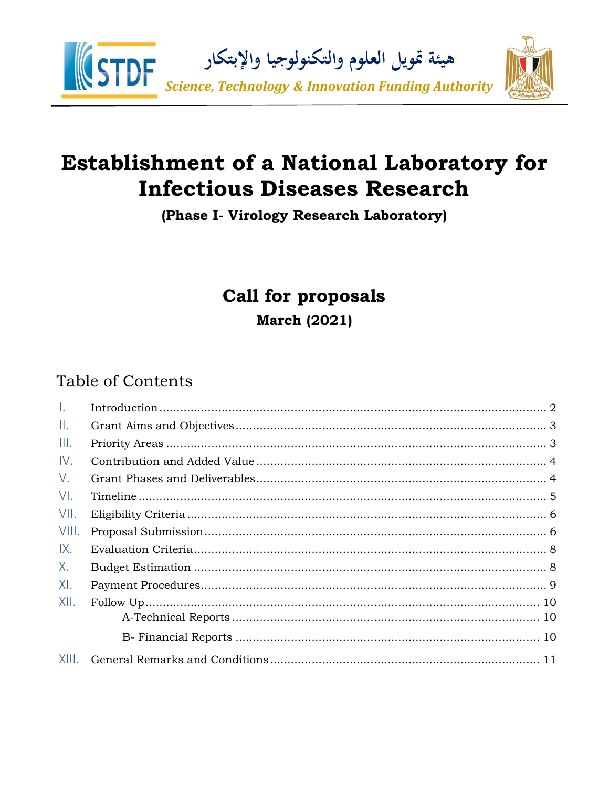

# **Establishment of a National Laboratory for Infectious Diseases Research**

(Phase I- Virology Research Laboratory)

# **Call for proposals**

<span id="page-0-0"></span>**March (2021)** 

# **Table of Contents**

| $\pm$  |  |
|--------|--|
| Ш.     |  |
| III.   |  |
| IV.    |  |
| V.     |  |
| $V1$ . |  |
| VII.   |  |
| VIII.  |  |
| IX.    |  |
| X.     |  |
| XI.    |  |
| XII.   |  |
|        |  |
|        |  |
| XIII.  |  |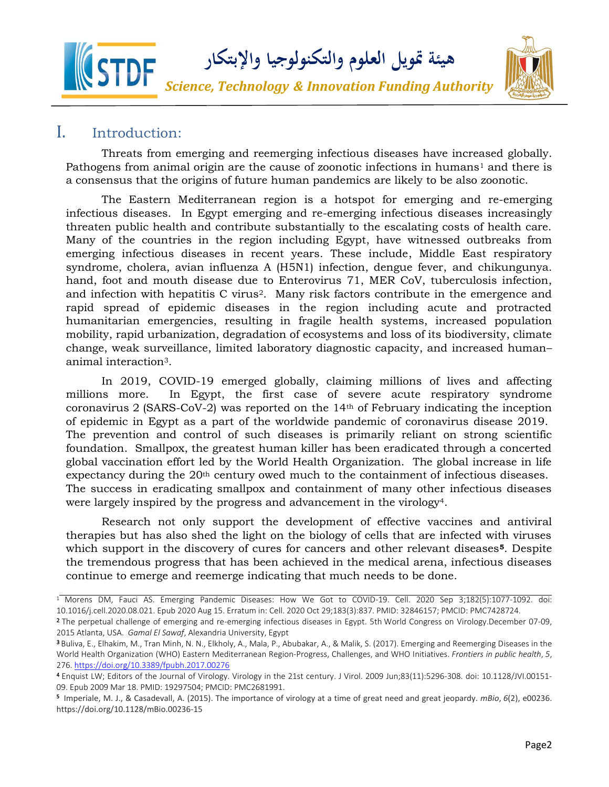

#### I. Introduction:

Threats from emerging and reemerging infectious diseases have increased globally. Pathogens from animal origin are the cause of zoonotic infections in humans<sup>1</sup> and there is a consensus that the origins of future human pandemics are likely to be also zoonotic.

The Eastern Mediterranean region is a hotspot for emerging and re-emerging infectious diseases. In Egypt emerging and re-emerging infectious diseases increasingly threaten public health and contribute substantially to the escalating costs of health care. Many of the countries in the region including Egypt, have witnessed outbreaks from emerging infectious diseases in recent years. These include, Middle East respiratory syndrome, cholera, avian influenza A (H5N1) infection, dengue fever, and chikungunya. hand, foot and mouth disease due to Enterovirus 71, MER CoV, tuberculosis infection, and infection with hepatitis C virus2. Many risk factors contribute in the emergence and rapid spread of epidemic diseases in the region including acute and protracted humanitarian emergencies, resulting in fragile health systems, increased population mobility, rapid urbanization, degradation of ecosystems and loss of its biodiversity, climate change, weak surveillance, limited laboratory diagnostic capacity, and increased human– animal interaction3.

In 2019, COVID-19 emerged globally, claiming millions of lives and affecting millions more. In Egypt, the first case of severe [acute respiratory syndrome](https://en.wikipedia.org/wiki/Severe_acute_respiratory_syndrome_coronavirus_2)  [coronavirus](https://en.wikipedia.org/wiki/Severe_acute_respiratory_syndrome_coronavirus_2) 2 (SARS-CoV-2) was reported on the 14th of February indicating the inception of epidemic in Egypt as a part of the worldwide pandemic of coronavirus disease 2019. The prevention and control of such diseases is primarily reliant on strong scientific foundation. Smallpox, the greatest human killer has been eradicated through a concerted global vaccination effort led by the World Health Organization. The global increase in life expectancy during the 20<sup>th</sup> century owed much to the containment of infectious diseases. The success in eradicating smallpox and containment of many other infectious diseases were largely inspired by the progress and advancement in the virology<sup>4</sup>.

Research not only support the development of effective vaccines and antiviral therapies but has also shed the light on the biology of cells that are infected with viruses which support in the discovery of cures for cancers and other relevant diseases**5**. Despite the tremendous progress that has been achieved in the medical arena, infectious diseases continue to emerge and reemerge indicating that much needs to be done.

<sup>&</sup>lt;sup>1</sup> Morens DM, Fauci AS. Emerging Pandemic Diseases: How We Got to COVID-19. Cell. 2020 Sep 3;182(5):1077-1092. doi: 10.1016/j.cell.2020.08.021. Epub 2020 Aug 15. Erratum in: Cell. 2020 Oct 29;183(3):837. PMID: 32846157; PMCID: PMC7428724.

<sup>2</sup> The perpetual challenge of emerging and re-emerging infectious diseases in Egypt. 5th World Congress on Virology.December 07-09, 2015 Atlanta, USA. *Gamal El Sawaf*, Alexandria University, Egypt

<sup>3</sup> Buliva, E., Elhakim, M., Tran Minh, N. N., Elkholy, A., Mala, P., Abubakar, A., & Malik, S. (2017). Emerging and Reemerging Diseases in the World Health Organization (WHO) Eastern Mediterranean Region-Progress, Challenges, and WHO Initiatives. *Frontiers in public health*, *5*, 276.<https://doi.org/10.3389/fpubh.2017.00276>

<sup>4</sup> Enquist LW; Editors of the Journal of Virology. Virology in the 21st century. J Virol. 2009 Jun;83(11):5296-308. doi: 10.1128/JVI.00151- 09. Epub 2009 Mar 18. PMID: 19297504; PMCID: PMC2681991.

**<sup>5</sup>** Imperiale, M. J., & Casadevall, A. (2015). The importance of virology at a time of great need and great jeopardy. *mBio*, *6*(2), e00236. https://doi.org/10.1128/mBio.00236-15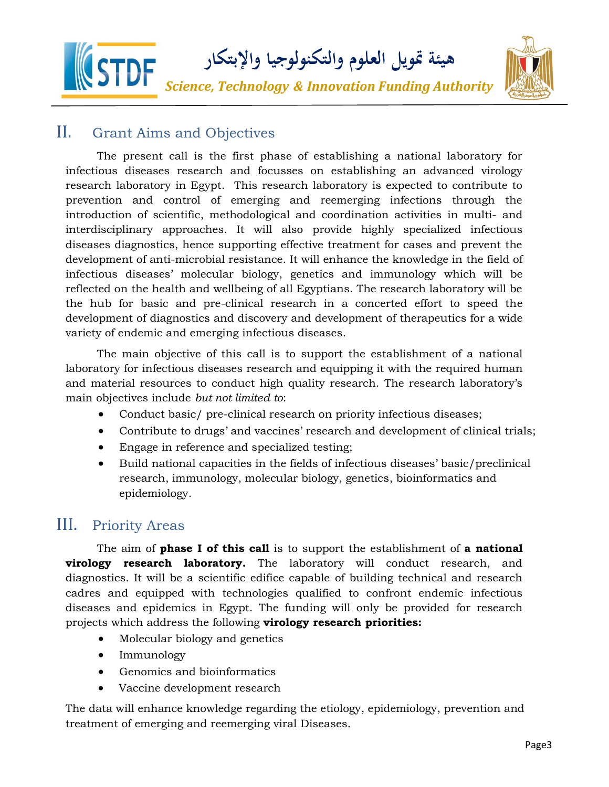

### II. Grant Aims and Objectives

The present call is the first phase of establishing a national laboratory for infectious diseases research and focusses on establishing an advanced virology research laboratory in Egypt. This research laboratory is expected to contribute to prevention and control of emerging and reemerging infections through the introduction of scientific, methodological and coordination activities in multi- and interdisciplinary approaches. It will also provide highly specialized infectious diseases diagnostics, hence supporting effective treatment for cases and prevent the development of anti-microbial resistance. It will enhance the knowledge in the field of infectious diseases' molecular biology, genetics and immunology which will be reflected on the health and wellbeing of all Egyptians. The research laboratory will be the hub for basic and pre-clinical research in a concerted effort to speed the development of diagnostics and discovery and development of therapeutics for a wide variety of endemic and emerging infectious diseases.

The main objective of this call is to support the establishment of a national laboratory for infectious diseases research and equipping it with the required human and material resources to conduct high quality research. The research laboratory's main objectives include *but not limited to*:

- Conduct basic/ pre-clinical research on priority infectious diseases;
- Contribute to drugs' and vaccines' research and development of clinical trials;
- Engage in reference and specialized testing;
- Build national capacities in the fields of infectious diseases' basic/preclinical research, immunology, molecular biology, genetics, bioinformatics and epidemiology.

## <span id="page-2-0"></span>III. Priority Areas

<span id="page-2-1"></span>The aim of **phase I of this call** is to support the establishment of **a national virology research laboratory.** The laboratory will conduct research, and diagnostics. It will be a scientific edifice capable of building technical and research cadres and equipped with technologies qualified to confront endemic infectious diseases and epidemics in Egypt. The funding will only be provided for research projects which address the following **virology research priorities:**

- Molecular biology and genetics
- Immunology
- Genomics and bioinformatics
- Vaccine development research

The data will enhance knowledge regarding the etiology, epidemiology, prevention and treatment of emerging and reemerging viral Diseases.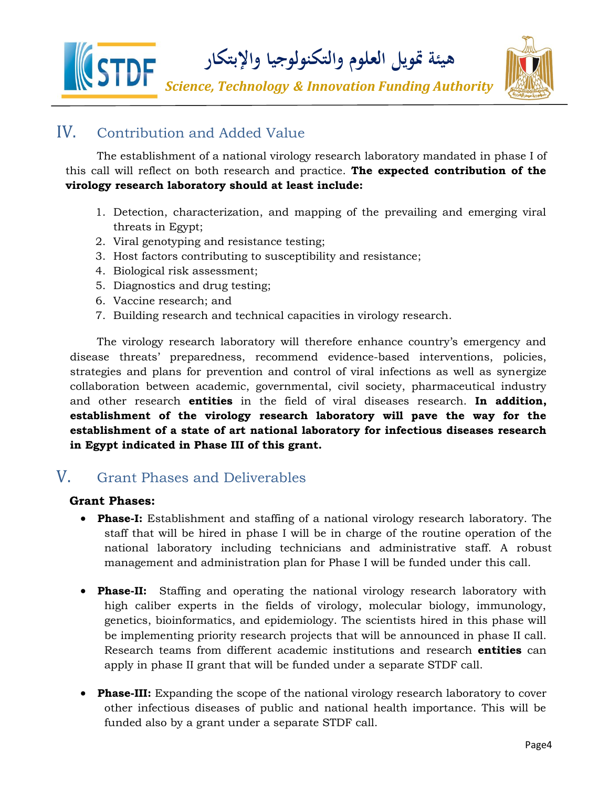**هيئة متويل العلوم والتكنولوجيا واإلبتكار** 

*Science, Technology & Innovation Funding Authority*



## IV. Contribution and Added Value

The establishment of a national virology research laboratory mandated in phase I of this call will reflect on both research and practice. **The expected contribution of the virology research laboratory should at least include:**

- 1. Detection, characterization, and mapping of the prevailing and emerging viral threats in Egypt;
- 2. Viral genotyping and resistance testing;
- 3. Host factors contributing to susceptibility and resistance;
- 4. Biological risk assessment;
- 5. Diagnostics and drug testing;
- 6. Vaccine research; and
- 7. Building research and technical capacities in virology research.

The virology research laboratory will therefore enhance country's emergency and disease threats' preparedness, recommend evidence-based interventions, policies, strategies and plans for prevention and control of viral infections as well as synergize collaboration between academic, governmental, civil society, pharmaceutical industry and other research **entities** in the field of viral diseases research. **In addition, establishment of the virology research laboratory will pave the way for the establishment of a state of art national laboratory for infectious diseases research in Egypt indicated in Phase III of this grant.**

## <span id="page-3-0"></span>V. Grant Phases and Deliverables

#### **Grant Phases:**

- **Phase-I:** Establishment and staffing of a national virology research laboratory. The staff that will be hired in phase I will be in charge of the routine operation of the national laboratory including technicians and administrative staff. A robust management and administration plan for Phase I will be funded under this call.
- **Phase-II:** Staffing and operating the national virology research laboratory with high caliber experts in the fields of virology, molecular biology, immunology, genetics, bioinformatics, and epidemiology. The scientists hired in this phase will be implementing priority research projects that will be announced in phase II call. Research teams from different academic institutions and research **entities** can apply in phase II grant that will be funded under a separate STDF call.
- **Phase-III:** Expanding the scope of the national virology research laboratory to cover other infectious diseases of public and national health importance. This will be funded also by a grant under a separate STDF call.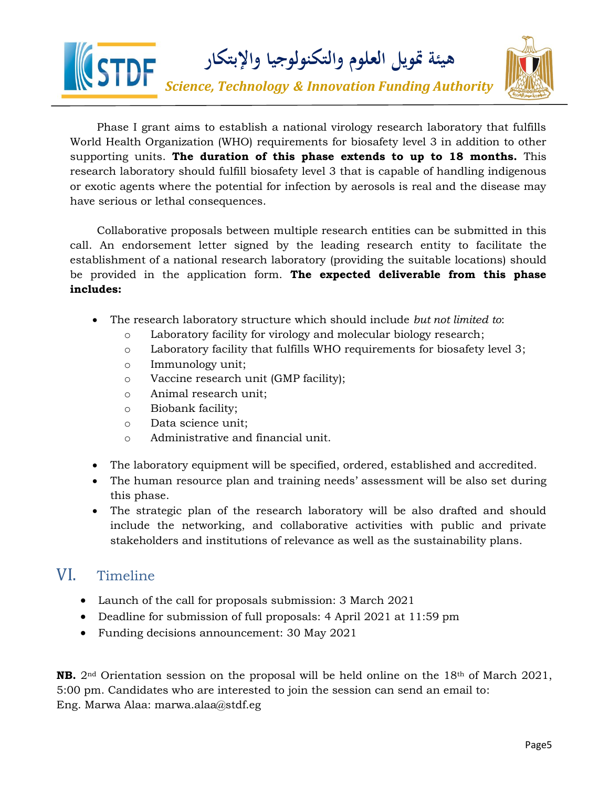

Phase I grant aims to establish a national virology research laboratory that fulfills World Health Organization (WHO) requirements for biosafety level 3 in addition to other supporting units. **The duration of this phase extends to up to 18 months.** This research laboratory should fulfill biosafety level 3 that is capable of handling indigenous or exotic agents where the potential for infection by aerosols is real and the disease may have serious or lethal consequences.

Collaborative proposals between multiple research entities can be submitted in this call. An endorsement letter signed by the leading research entity to facilitate the establishment of a national research laboratory (providing the suitable locations) should be provided in the application form. **The expected deliverable from this phase includes:**

- The research laboratory structure which should include *but not limited to*:
	- o Laboratory facility for virology and molecular biology research;
	- o Laboratory facility that fulfills WHO requirements for biosafety level 3;
	- o Immunology unit;
	- o Vaccine research unit (GMP facility);
	- o Animal research unit;
	- o Biobank facility;
	- o Data science unit;
	- o Administrative and financial unit.
- The laboratory equipment will be specified, ordered, established and accredited.
- The human resource plan and training needs' assessment will be also set during this phase.
- The strategic plan of the research laboratory will be also drafted and should include the networking, and collaborative activities with public and private stakeholders and institutions of relevance as well as the sustainability plans.

### <span id="page-4-0"></span>VI. Timeline

- Launch of the call for proposals submission: 3 March 2021
- Deadline for submission of full proposals: 4 April 2021 at 11:59 pm
- Funding decisions announcement: 30 May 2021

<span id="page-4-1"></span>**NB.** 2nd Orientation session on the proposal will be held online on the 18th of March 2021, 5:00 pm. Candidates who are interested to join the session can send an email to: Eng. Marwa Alaa: marwa.alaa@stdf.eg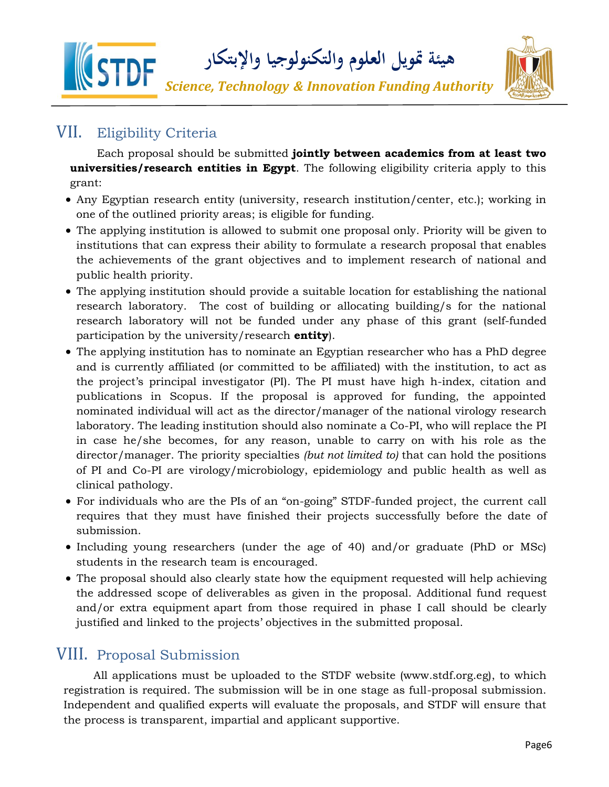

## VII. Eligibility Criteria

Each proposal should be submitted **jointly between academics from at least two universities/research entities in Egypt**. The following eligibility criteria apply to this grant:

- Any Egyptian research entity (university, research institution/center, etc.); working in one of the outlined priority areas; is eligible for funding.
- The applying institution is allowed to submit one proposal only. Priority will be given to institutions that can express their ability to formulate a research proposal that enables the achievements of the grant objectives and to implement research of national and public health priority.
- The applying institution should provide a suitable location for establishing the national research laboratory. The cost of building or allocating building/s for the national research laboratory will not be funded under any phase of this grant (self-funded participation by the university/research **entity**).
- The applying institution has to nominate an Egyptian researcher who has a PhD degree and is currently affiliated (or committed to be affiliated) with the institution, to act as the project's principal investigator (PI). The PI must have high h-index, citation and publications in Scopus. If the proposal is approved for funding, the appointed nominated individual will act as the director/manager of the national virology research laboratory. The leading institution should also nominate a Co-PI, who will replace the PI in case he/she becomes, for any reason, unable to carry on with his role as the director/manager. The priority specialties *(but not limited to)* that can hold the positions of PI and Co-PI are virology/microbiology, epidemiology and public health as well as clinical pathology.
- For individuals who are the PIs of an "on-going" STDF-funded project, the current call requires that they must have finished their projects successfully before the date of submission.
- Including young researchers (under the age of 40) and/or graduate (PhD or MSc) students in the research team is encouraged.
- The proposal should also clearly state how the equipment requested will help achieving the addressed scope of deliverables as given in the proposal. Additional fund request and/or extra equipment apart from those required in phase I call should be clearly justified and linked to the projects' objectives in the submitted proposal.

## <span id="page-5-0"></span>VIII. Proposal Submission

All applications must be uploaded to the STDF website (www.stdf.org.eg), to which registration is required. The submission will be in one stage as full-proposal submission. Independent and qualified experts will evaluate the proposals, and STDF will ensure that the process is transparent, impartial and applicant supportive.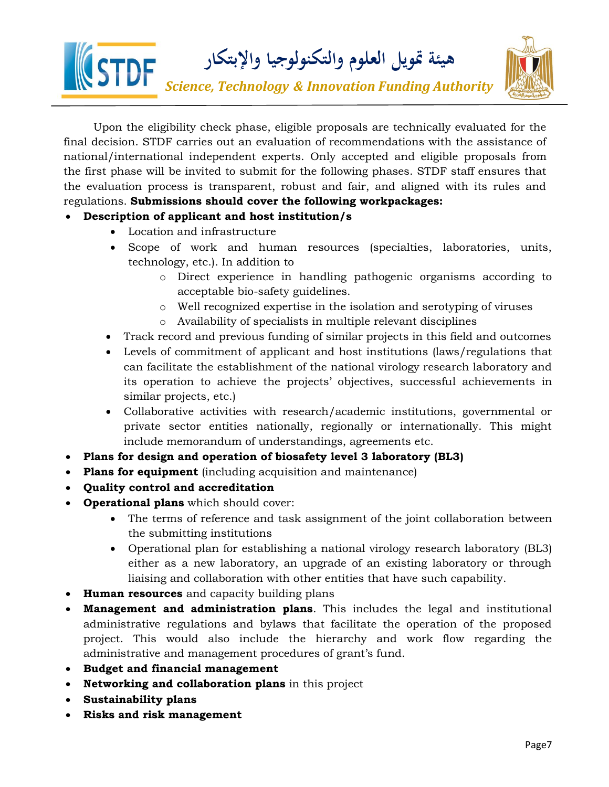



Upon the eligibility check phase, eligible proposals are technically evaluated for the final decision. STDF carries out an evaluation of recommendations with the assistance of national/international independent experts. Only accepted and eligible proposals from the first phase will be invited to submit for the following phases. STDF staff ensures that the evaluation process is transparent, robust and fair, and aligned with its rules and regulations. **Submissions should cover the following workpackages:**

#### • **Description of applicant and host institution/s**

- Location and infrastructure
- Scope of work and human resources (specialties, laboratories, units, technology, etc.). In addition to
	- o Direct experience in handling pathogenic organisms according to acceptable bio-safety guidelines.
	- o Well recognized expertise in the isolation and serotyping of viruses
	- o Availability of specialists in multiple relevant disciplines
- Track record and previous funding of similar projects in this field and outcomes
- Levels of commitment of applicant and host institutions (laws/regulations that can facilitate the establishment of the national virology research laboratory and its operation to achieve the projects' objectives, successful achievements in similar projects, etc.)
- Collaborative activities with research/academic institutions, governmental or private sector entities nationally, regionally or internationally. This might include memorandum of understandings, agreements etc.
- **Plans for design and operation of biosafety level 3 laboratory (BL3)**
- **Plans for equipment** (including acquisition and maintenance)
- **Quality control and accreditation**
- **Operational plans** which should cover:
	- The terms of reference and task assignment of the joint collaboration between the submitting institutions
	- Operational plan for establishing a national virology research laboratory (BL3) either as a new laboratory, an upgrade of an existing laboratory or through liaising and collaboration with other entities that have such capability.
- **Human resources** and capacity building plans
- **Management and administration plans**. This includes the legal and institutional administrative regulations and bylaws that facilitate the operation of the proposed project. This would also include the hierarchy and work flow regarding the administrative and management procedures of grant's fund.
- **Budget and financial management**
- **Networking and collaboration plans** in this project
- **Sustainability plans**
- <span id="page-6-0"></span>• **Risks and risk management**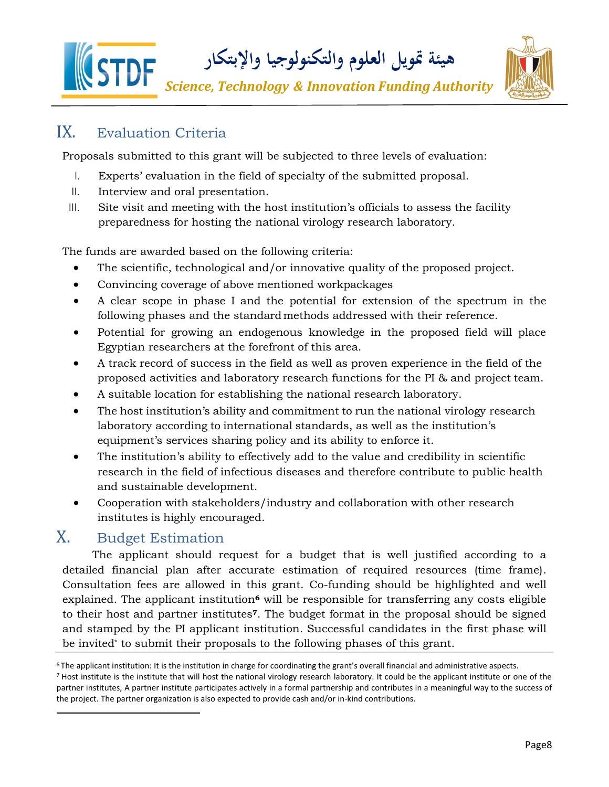



## <span id="page-7-0"></span>IX. Evaluation Criteria

Proposals submitted to this grant will be subjected to three levels of evaluation:

- I. Experts' evaluation in the field of specialty of the submitted proposal.
- II. Interview and oral presentation.
- III. Site visit and meeting with the host institution's officials to assess the facility preparedness for hosting the national virology research laboratory.

The funds are awarded based on the following criteria:

- The scientific, technological and/or innovative quality of the proposed project.
- Convincing coverage of above mentioned workpackages
- A clear scope in phase I and the potential for extension of the spectrum in the following phases and the standardmethods addressed with their reference.
- Potential for growing an endogenous knowledge in the proposed field will place Egyptian researchers at the forefront of this area.
- A track record of success in the field as well as proven experience in the field of the proposed activities and laboratory research functions for the PI & and project team.
- A suitable location for establishing the national research laboratory.
- The host institution's ability and commitment to run the national virology research laboratory according to international standards, as well as the institution's equipment's services sharing policy and its ability to enforce it.
- The institution's ability to effectively add to the value and credibility in scientific research in the field of infectious diseases and therefore contribute to public health and sustainable development.
- <span id="page-7-1"></span>• Cooperation with stakeholders/industry and collaboration with other research institutes is highly encouraged.

### X. Budget Estimation

The applicant should request for a budget that is well justified according to a detailed financial plan after accurate estimation of required resources (time frame). Consultation fees are allowed in this grant. Co-funding should be highlighted and well explained. The applicant institution**<sup>6</sup>** will be responsible for transferring any costs eligible to their host and partner institutes**7**. The budget format in the proposal should be signed and stamped by the PI applicant institution. Successful candidates in the first phase will be invited\* to submit their proposals to the following phases of this grant.

 $6$ The applicant institution: It is the institution in charge for coordinating the grant's overall financial and administrative aspects.

<sup>7</sup>Host institute is the institute that will host the national virology research laboratory. It could be the applicant institute or one of the partner institutes, A partner institute participates actively in a formal partnership and contributes in a meaningful way to the success of the project. The partner organization is also expected to provide cash and/or in-kind contributions.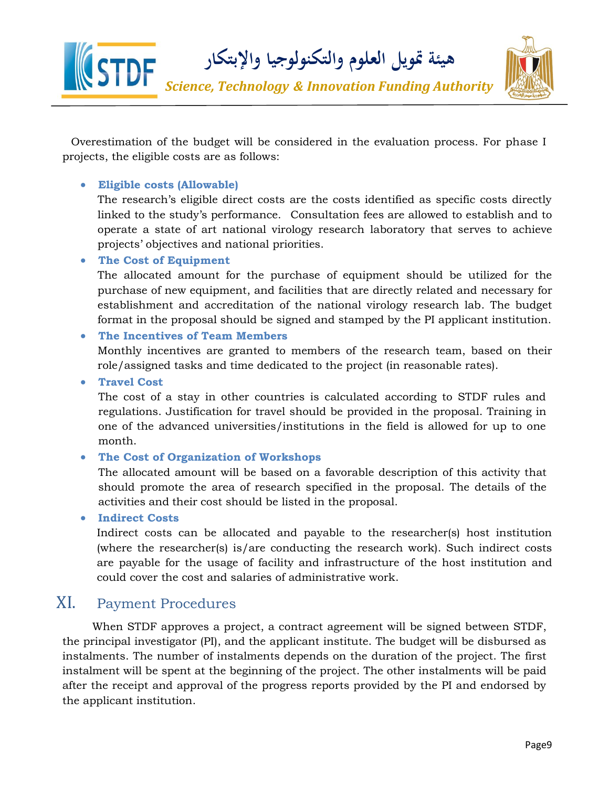

Overestimation of the budget will be considered in the evaluation process. For phase I projects, the eligible costs are as follows:

#### • **Eligible costs (Allowable)**

The research's eligible direct costs are the costs identified as specific costs directly linked to the study's performance. Consultation fees are allowed to establish and to operate a state of art national virology research laboratory that serves to achieve projects' objectives and national priorities.

#### • **The Cost of Equipment**

The allocated amount for the purchase of equipment should be utilized for the purchase of new equipment, and facilities that are directly related and necessary for establishment and accreditation of the national virology research lab. The budget format in the proposal should be signed and stamped by the PI applicant institution.

#### • **The Incentives of Team Members**

Monthly incentives are granted to members of the research team, based on their role/assigned tasks and time dedicated to the project (in reasonable rates).

• **Travel Cost**

The cost of a stay in other countries is calculated according to STDF rules and regulations. Justification for travel should be provided in the proposal. Training in one of the advanced universities/institutions in the field is allowed for up to one month.

#### • **The Cost of Organization of Workshops**

The allocated amount will be based on a favorable description of this activity that should promote the area of research specified in the proposal. The details of the activities and their cost should be listed in the proposal.

• **Indirect Costs**

Indirect costs can be allocated and payable to the researcher(s) host institution (where the researcher(s) is/are conducting the research work). Such indirect costs are payable for the usage of facility and infrastructure of the host institution and could cover the cost and salaries of administrative work.

### XI. Payment Procedures

<span id="page-8-0"></span>When STDF approves a project, a contract agreement will be signed between STDF, the principal investigator (PI), and the applicant institute. The budget will be disbursed as instalments. The number of instalments depends on the duration of the project. The first instalment will be spent at the beginning of the project. The other instalments will be paid after the receipt and approval of the progress reports provided by the PI and endorsed by the applicant institution.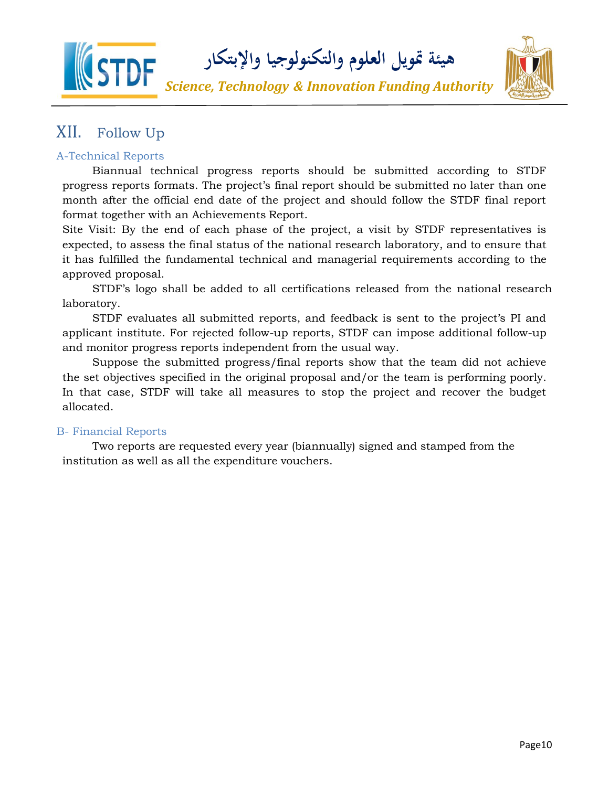



# <span id="page-9-0"></span>XII. Follow Up

#### A-Technical Reports

Biannual technical progress reports should be submitted according to STDF progress reports formats. The project's final report should be submitted no later than one month after the official end date of the project and should follow the STDF final report format together with an Achievements Report.

Site Visit: By the end of each phase of the project, a visit by STDF representatives is expected, to assess the final status of the national research laboratory, and to ensure that it has fulfilled the fundamental technical and managerial requirements according to the approved proposal.

STDF's logo shall be added to all certifications released from the national research laboratory.

STDF evaluates all submitted reports, and feedback is sent to the project's PI and applicant institute. For rejected follow-up reports, STDF can impose additional follow-up and monitor progress reports independent from the usual way.

Suppose the submitted progress/final reports show that the team did not achieve the set objectives specified in the original proposal and/or the team is performing poorly. In that case, STDF will take all measures to stop the project and recover the budget allocated.

#### <span id="page-9-1"></span>B- Financial Reports

<span id="page-9-2"></span>Two reports are requested every year (biannually) signed and stamped from the institution as well as all the expenditure vouchers.